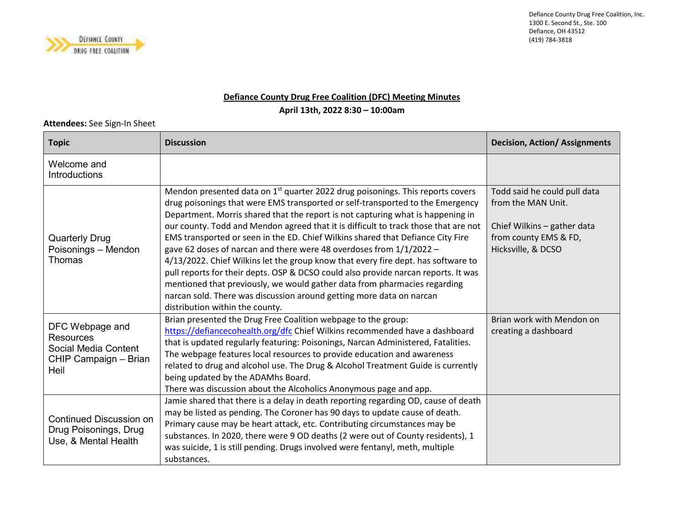

Defiance County Drug Free Coalition, Inc.1300 E. Second St., Ste. 100 Defiance, OH 43512 (419) 784-3818

## **Defiance County Drug Free Coalition (DFC) Meeting Minutes**

**April 13th, 2022 8:30 – 10:00am** 

## **Attendees:** See Sign-In Sheet

| <b>Topic</b>                                                                                 | <b>Discussion</b>                                                                                                                                                                                                                                                                                                                                                                                                                                                                                                                                                                                                                                                                                                                                                                                                                                                                   | <b>Decision, Action/ Assignments</b>                                                                                             |
|----------------------------------------------------------------------------------------------|-------------------------------------------------------------------------------------------------------------------------------------------------------------------------------------------------------------------------------------------------------------------------------------------------------------------------------------------------------------------------------------------------------------------------------------------------------------------------------------------------------------------------------------------------------------------------------------------------------------------------------------------------------------------------------------------------------------------------------------------------------------------------------------------------------------------------------------------------------------------------------------|----------------------------------------------------------------------------------------------------------------------------------|
| Welcome and<br>Introductions                                                                 |                                                                                                                                                                                                                                                                                                                                                                                                                                                                                                                                                                                                                                                                                                                                                                                                                                                                                     |                                                                                                                                  |
| <b>Quarterly Drug</b><br>Poisonings - Mendon<br>Thomas                                       | Mendon presented data on 1 <sup>st</sup> quarter 2022 drug poisonings. This reports covers<br>drug poisonings that were EMS transported or self-transported to the Emergency<br>Department. Morris shared that the report is not capturing what is happening in<br>our county. Todd and Mendon agreed that it is difficult to track those that are not<br>EMS transported or seen in the ED. Chief Wilkins shared that Defiance City Fire<br>gave 62 doses of narcan and there were 48 overdoses from 1/1/2022 -<br>4/13/2022. Chief Wilkins let the group know that every fire dept. has software to<br>pull reports for their depts. OSP & DCSO could also provide narcan reports. It was<br>mentioned that previously, we would gather data from pharmacies regarding<br>narcan sold. There was discussion around getting more data on narcan<br>distribution within the county. | Todd said he could pull data<br>from the MAN Unit.<br>Chief Wilkins - gather data<br>from county EMS & FD,<br>Hicksville, & DCSO |
| DFC Webpage and<br><b>Resources</b><br>Social Media Content<br>CHIP Campaign - Brian<br>Heil | Brian presented the Drug Free Coalition webpage to the group:<br>https://defiancecohealth.org/dfc Chief Wilkins recommended have a dashboard<br>that is updated regularly featuring: Poisonings, Narcan Administered, Fatalities.<br>The webpage features local resources to provide education and awareness<br>related to drug and alcohol use. The Drug & Alcohol Treatment Guide is currently<br>being updated by the ADAMhs Board.<br>There was discussion about the Alcoholics Anonymous page and app.                                                                                                                                                                                                                                                                                                                                                                         | Brian work with Mendon on<br>creating a dashboard                                                                                |
| Continued Discussion on<br>Drug Poisonings, Drug<br>Use, & Mental Health                     | Jamie shared that there is a delay in death reporting regarding OD, cause of death<br>may be listed as pending. The Coroner has 90 days to update cause of death.<br>Primary cause may be heart attack, etc. Contributing circumstances may be<br>substances. In 2020, there were 9 OD deaths (2 were out of County residents), 1<br>was suicide, 1 is still pending. Drugs involved were fentanyl, meth, multiple<br>substances.                                                                                                                                                                                                                                                                                                                                                                                                                                                   |                                                                                                                                  |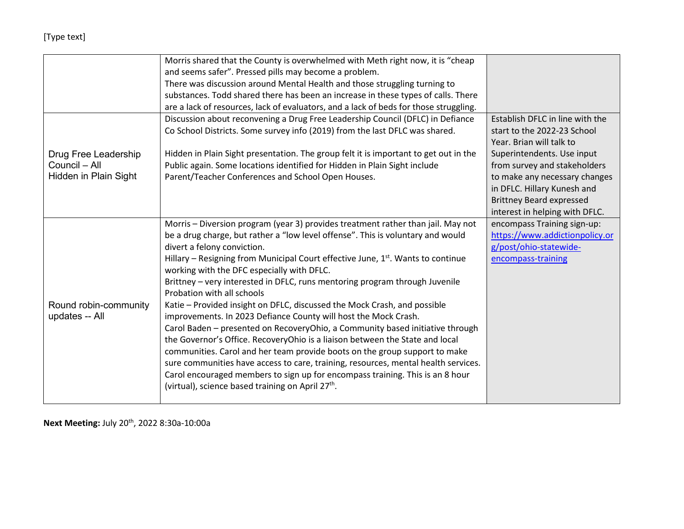## [Type text]

|                       | Morris shared that the County is overwhelmed with Meth right now, it is "cheap                                                             |                                 |
|-----------------------|--------------------------------------------------------------------------------------------------------------------------------------------|---------------------------------|
|                       | and seems safer". Pressed pills may become a problem.                                                                                      |                                 |
|                       | There was discussion around Mental Health and those struggling turning to                                                                  |                                 |
|                       | substances. Todd shared there has been an increase in these types of calls. There                                                          |                                 |
|                       | are a lack of resources, lack of evaluators, and a lack of beds for those struggling.                                                      |                                 |
|                       | Discussion about reconvening a Drug Free Leadership Council (DFLC) in Defiance                                                             | Establish DFLC in line with the |
|                       | Co School Districts. Some survey info (2019) from the last DFLC was shared.                                                                | start to the 2022-23 School     |
|                       |                                                                                                                                            | Year. Brian will talk to        |
| Drug Free Leadership  | Hidden in Plain Sight presentation. The group felt it is important to get out in the                                                       | Superintendents. Use input      |
| Council - All         | Public again. Some locations identified for Hidden in Plain Sight include                                                                  | from survey and stakeholders    |
| Hidden in Plain Sight | Parent/Teacher Conferences and School Open Houses.                                                                                         | to make any necessary changes   |
|                       |                                                                                                                                            | in DFLC. Hillary Kunesh and     |
|                       |                                                                                                                                            | <b>Brittney Beard expressed</b> |
|                       |                                                                                                                                            | interest in helping with DFLC.  |
|                       | Morris - Diversion program (year 3) provides treatment rather than jail. May not                                                           | encompass Training sign-up:     |
|                       | be a drug charge, but rather a "low level offense". This is voluntary and would                                                            | https://www.addictionpolicy.or  |
|                       | divert a felony conviction.                                                                                                                | g/post/ohio-statewide-          |
|                       | Hillary - Resigning from Municipal Court effective June, 1 <sup>st</sup> . Wants to continue<br>working with the DFC especially with DFLC. | encompass-training              |
|                       | Brittney - very interested in DFLC, runs mentoring program through Juvenile                                                                |                                 |
|                       | Probation with all schools                                                                                                                 |                                 |
| Round robin-community | Katie - Provided insight on DFLC, discussed the Mock Crash, and possible                                                                   |                                 |
| updates -- All        | improvements. In 2023 Defiance County will host the Mock Crash.                                                                            |                                 |
|                       | Carol Baden - presented on RecoveryOhio, a Community based initiative through                                                              |                                 |
|                       | the Governor's Office. RecoveryOhio is a liaison between the State and local                                                               |                                 |
|                       | communities. Carol and her team provide boots on the group support to make                                                                 |                                 |
|                       | sure communities have access to care, training, resources, mental health services.                                                         |                                 |
|                       | Carol encouraged members to sign up for encompass training. This is an 8 hour                                                              |                                 |
|                       | (virtual), science based training on April 27 <sup>th</sup> .                                                                              |                                 |
|                       |                                                                                                                                            |                                 |

**Next Meeting:** July 20th, 2022 8:30a-10:00a